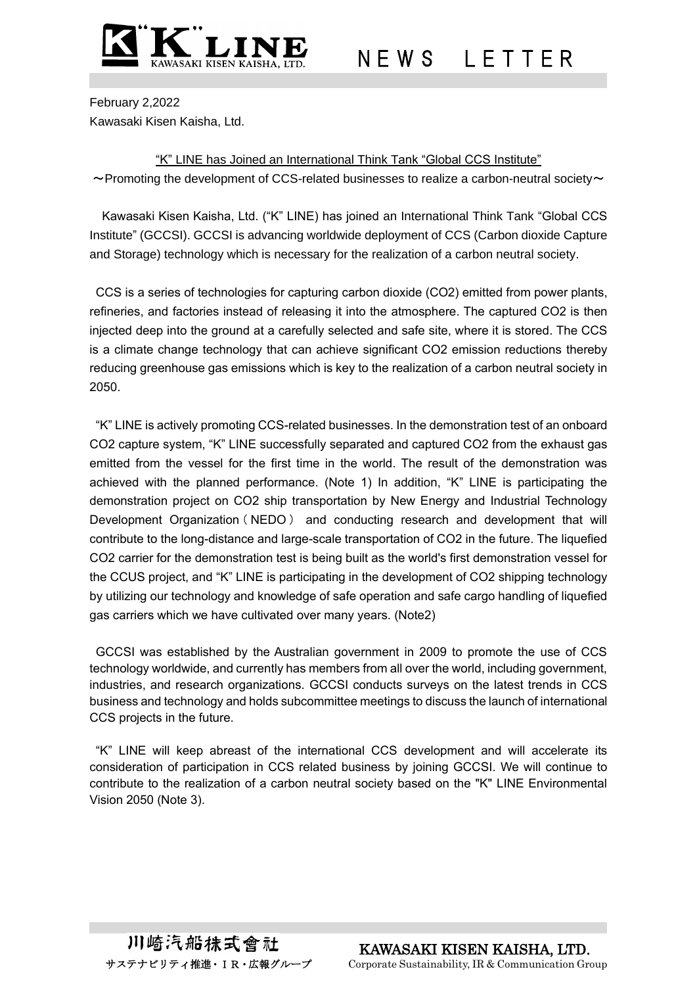

N E W S L E T T E R

February 2,2022 Kawasaki Kisen Kaisha, Ltd.

"K" LINE has Joined an International Think Tank "Global CCS Institute"  $\sim$  Promoting the development of CCS-related businesses to realize a carbon-neutral society $\sim$ 

Kawasaki Kisen Kaisha, Ltd. ("K" LINE) has joined an International Think Tank "Global CCS Institute" (GCCSI). GCCSI is advancing worldwide deployment of CCS (Carbon dioxide Capture and Storage) technology which is necessary for the realization of a carbon neutral society.

CCS is a series of technologies for capturing carbon dioxide (CO2) emitted from power plants, refineries, and factories instead of releasing it into the atmosphere. The captured CO2 is then injected deep into the ground at a carefully selected and safe site, where it is stored. The CCS is a climate change technology that can achieve significant CO2 emission reductions thereby reducing greenhouse gas emissions which is key to the realization of a carbon neutral society in 2050.

"K" LINE is actively promoting CCS-related businesses. In the demonstration test of an onboard CO2 capture system, "K" LINE successfully separated and captured CO2 from the exhaust gas emitted from the vessel for the first time in the world. The result of the demonstration was achieved with the planned performance. (Note 1) In addition, "K" LINE is participating the demonstration project on CO2 ship transportation by New Energy and Industrial Technology Development Organization ( NEDO ) and conducting research and development that will contribute to the long-distance and large-scale transportation of CO2 in the future. The liquefied CO2 carrier for the demonstration test is being built as the world's first demonstration vessel for the CCUS project, and "K" LINE is participating in the development of CO2 shipping technology by utilizing our technology and knowledge of safe operation and safe cargo handling of liquefied gas carriers which we have cultivated over many years. (Note2)

GCCSI was established by the Australian government in 2009 to promote the use of CCS technology worldwide, and currently has members from all over the world, including government, industries, and research organizations. GCCSI conducts surveys on the latest trends in CCS business and technology and holds subcommittee meetings to discuss the launch of international CCS projects in the future.

"K" LINE will keep abreast of the international CCS development and will accelerate its consideration of participation in CCS related business by joining GCCSI. We will continue to contribute to the realization of a carbon neutral society based on the "K" LINE Environmental Vision 2050 (Note 3).